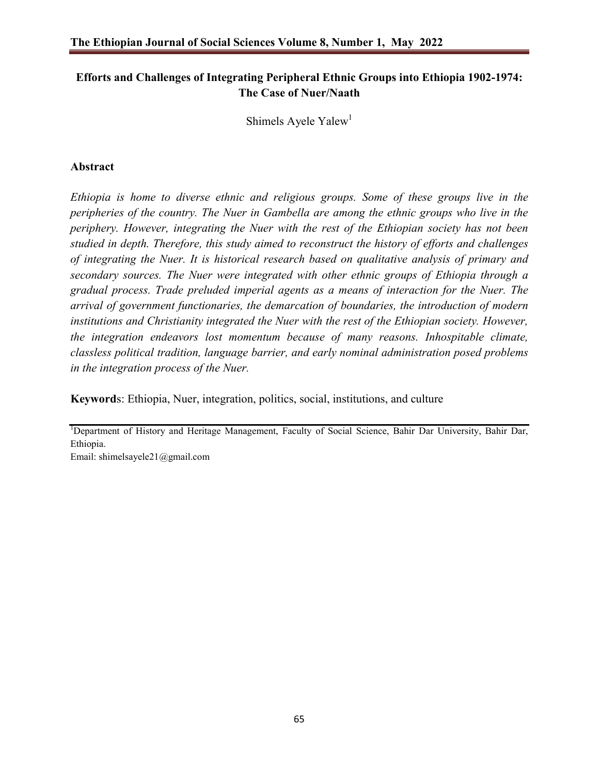# **Efforts and Challenges of Integrating Peripheral Ethnic Groups into Ethiopia 1902-1974: The Case of Nuer/Naath**

Shimels Ayele Yalew<sup>1</sup>

# **Abstract**

*Ethiopia is home to diverse ethnic and religious groups. Some of these groups live in the peripheries of the country. The Nuer in Gambella are among the ethnic groups who live in the periphery. However, integrating the Nuer with the rest of the Ethiopian society has not been studied in depth. Therefore, this study aimed to reconstruct the history of efforts and challenges of integrating the Nuer. It is historical research based on qualitative analysis of primary and secondary sources. The Nuer were integrated with other ethnic groups of Ethiopia through a gradual process. Trade preluded imperial agents as a means of interaction for the Nuer. The arrival of government functionaries, the demarcation of boundaries, the introduction of modern institutions and Christianity integrated the Nuer with the rest of the Ethiopian society. However, the integration endeavors lost momentum because of many reasons. Inhospitable climate, classless political tradition, language barrier, and early nominal administration posed problems in the integration process of the Nuer.* 

**Keyword**s: Ethiopia, Nuer, integration, politics, social, institutions, and culture

<sup>1</sup>Department of History and Heritage Management, Faculty of Social Science, Bahir Dar University, Bahir Dar, Ethiopia.

Email: shimelsayele21@gmail.com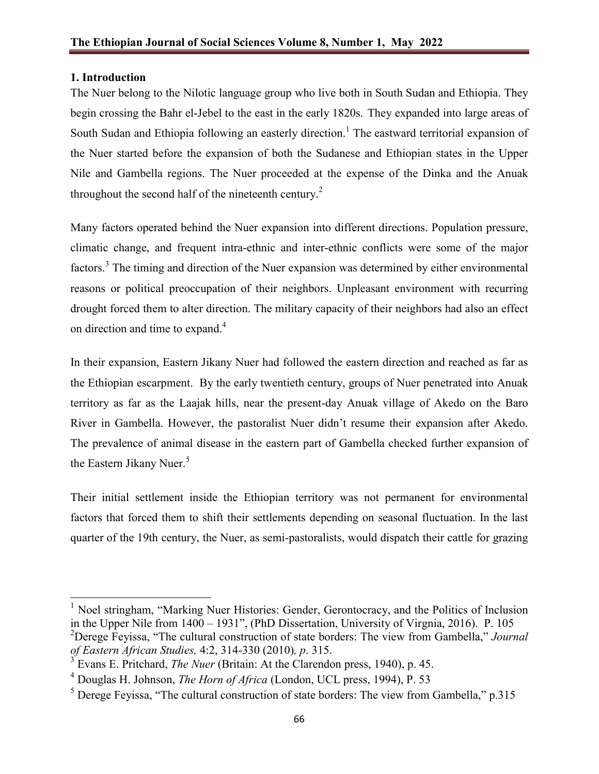# **1. Introduction**

The Nuer belong to the Nilotic language group who live both in South Sudan and Ethiopia. They begin crossing the Bahr el-Jebel to the east in the early 1820s. They expanded into large areas of South Sudan and Ethiopia following an easterly direction.<sup>1</sup> The eastward territorial expansion of the Nuer started before the expansion of both the Sudanese and Ethiopian states in the Upper Nile and Gambella regions. The Nuer proceeded at the expense of the Dinka and the Anuak throughout the second half of the nineteenth century.<sup>2</sup>

Many factors operated behind the Nuer expansion into different directions. Population pressure, climatic change, and frequent intra-ethnic and inter-ethnic conflicts were some of the major factors.<sup>3</sup> The timing and direction of the Nuer expansion was determined by either environmental reasons or political preoccupation of their neighbors. Unpleasant environment with recurring drought forced them to alter direction. The military capacity of their neighbors had also an effect on direction and time to expand.<sup>4</sup>

In their expansion, Eastern Jikany Nuer had followed the eastern direction and reached as far as the Ethiopian escarpment. By the early twentieth century, groups of Nuer penetrated into Anuak territory as far as the Laajak hills, near the present-day Anuak village of Akedo on the Baro River in Gambella. However, the pastoralist Nuer didn't resume their expansion after Akedo. The prevalence of animal disease in the eastern part of Gambella checked further expansion of the Eastern Jikany Nuer.<sup>5</sup>

Their initial settlement inside the Ethiopian territory was not permanent for environmental factors that forced them to shift their settlements depending on seasonal fluctuation. In the last quarter of the 19th century, the Nuer, as semi-pastoralists, would dispatch their cattle for grazing

 $<sup>1</sup>$  Noel stringham, "Marking Nuer Histories: Gender, Gerontocracy, and the Politics of Inclusion</sup> in the Upper Nile from 1400 – 1931", (PhD Dissertation, University of Virgnia, 2016). P. 105 <sup>2</sup> Derege Feyissa, "The cultural construction of state borders: The view from Gambella," *Journal of Eastern African Studies,* 4:2, 314-330 (2010)*, p*. 315.

<sup>&</sup>lt;sup>3</sup> Evans E. Pritchard, *The Nuer* (Britain: At the Clarendon press, 1940), p. 45.<br><sup>4</sup> Douglas H. Johnson, *The Horn of Africa* (London, UCL press, 1994), P. 53

 $<sup>5</sup>$  Derege Fevissa, "The cultural construction of state borders: The view from Gambella," p.315</sup>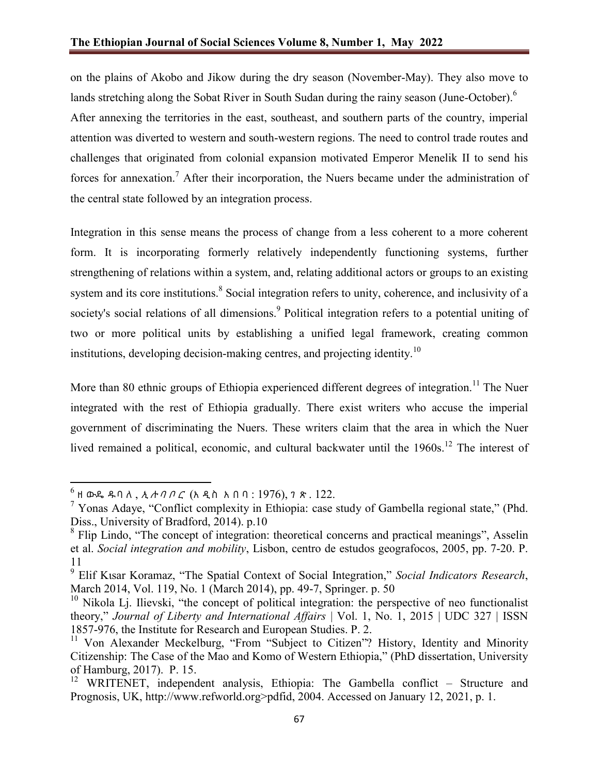on the plains of Akobo and Jikow during the dry season (November-May). They also move to lands stretching along the Sobat River in South Sudan during the rainy season (June-October).<sup>6</sup> After annexing the territories in the east, southeast, and southern parts of the country, imperial attention was diverted to western and south-western regions. The need to control trade routes and challenges that originated from colonial expansion motivated Emperor Menelik II to send his forces for annexation.<sup>7</sup> After their incorporation, the Nuers became under the administration of the central state followed by an integration process.

Integration in this sense means the process of change from a less coherent to a more coherent form. It is incorporating formerly relatively independently functioning systems, further strengthening of relations within a system, and, relating additional actors or groups to an existing system and its core institutions.<sup>8</sup> Social integration refers to unity, coherence, and inclusivity of a society's social relations of all dimensions.<sup>9</sup> Political integration refers to a potential uniting of two or more political units by establishing a unified legal framework, creating common institutions, developing decision-making centres, and projecting identity.<sup>10</sup>

More than 80 ethnic groups of Ethiopia experienced different degrees of integration.<sup>11</sup> The Nuer integrated with the rest of Ethiopia gradually. There exist writers who accuse the imperial government of discriminating the Nuers. These writers claim that the area in which the Nuer lived remained a political, economic, and cultural backwater until the 1960s.<sup>12</sup> The interest of

 $^6$  ዘ ውዴ ዱባለ, *ኢ ሉባቦር* (አ ዲስ አ በባ: 1976), 7 ጽ. 122.

<sup>&</sup>lt;sup>7</sup> Yonas Adaye, "Conflict complexity in Ethiopia: case study of Gambella regional state," (Phd. Diss., University of Bradford, 2014). p.10

<sup>&</sup>lt;sup>8</sup> Flip Lindo, "The concept of integration: theoretical concerns and practical meanings", Asselin et al. *Social integration and mobility*, Lisbon, centro de estudos geografocos, 2005, pp. 7-20. P. 11

<sup>9</sup> Elif Kιsar Koramaz, "The Spatial Context of Social Integration," *Social Indicators Research*, March 2014, Vol. 119, No. 1 (March 2014), pp. 49-7, Springer. p. 50

 $10$  Nikola Lj. Ilievski, "the concept of political integration: the perspective of neo functionalist theory," *Journal of Liberty and International Affairs* | Vol. 1, No. 1, 2015 | UDC 327 | ISSN 1857-976, the Institute for Research and European Studies. P. 2.

<sup>&</sup>lt;sup>11</sup> Von Alexander Meckelburg, "From "Subject to Citizen"? History, Identity and Minority Citizenship: The Case of the Mao and Komo of Western Ethiopia," (PhD dissertation, University of Hamburg, 2017). P. 15.

<sup>&</sup>lt;sup>12</sup> WRITENET, independent analysis, Ethiopia: The Gambella conflict – Structure and Prognosis, UK, http://www.refworld.org>pdfid, 2004. Accessed on January 12, 2021, p. 1.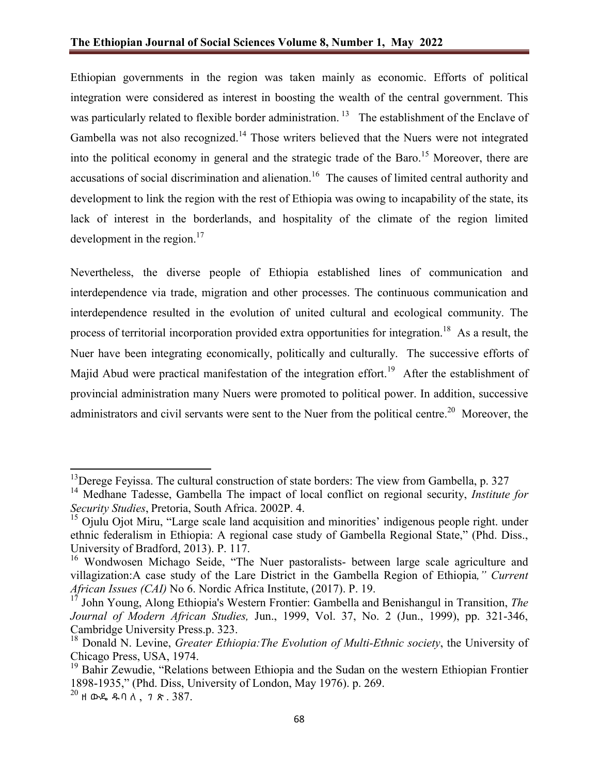Ethiopian governments in the region was taken mainly as economic. Efforts of political integration were considered as interest in boosting the wealth of the central government. This was particularly related to flexible border administration.<sup>13</sup> The establishment of the Enclave of Gambella was not also recognized.<sup>14</sup> Those writers believed that the Nuers were not integrated into the political economy in general and the strategic trade of the Baro.<sup>15</sup> Moreover, there are accusations of social discrimination and alienation.<sup>16</sup> The causes of limited central authority and development to link the region with the rest of Ethiopia was owing to incapability of the state, its lack of interest in the borderlands, and hospitality of the climate of the region limited development in the region. $17$ 

Nevertheless, the diverse people of Ethiopia established lines of communication and interdependence via trade, migration and other processes. The continuous communication and interdependence resulted in the evolution of united cultural and ecological community. The process of territorial incorporation provided extra opportunities for integration.<sup>18</sup> As a result, the Nuer have been integrating economically, politically and culturally. The successive efforts of Majid Abud were practical manifestation of the integration effort.<sup>19</sup> After the establishment of provincial administration many Nuers were promoted to political power. In addition, successive administrators and civil servants were sent to the Nuer from the political centre.<sup>20</sup> Moreover, the

 $13$  Derege Feyissa. The cultural construction of state borders: The view from Gambella, p. 327

<sup>14</sup> Medhane Tadesse, Gambella The impact of local conflict on regional security, *Institute for Security Studies*, Pretoria, South Africa. 2002P. 4.

<sup>&</sup>lt;sup>15</sup> Ojulu Ojot Miru, "Large scale land acquisition and minorities' indigenous people right. under ethnic federalism in Ethiopia: A regional case study of Gambella Regional State," (Phd. Diss., University of Bradford, 2013). P. 117.

<sup>&</sup>lt;sup>16</sup> Wondwosen Michago Seide, "The Nuer pastoralists- between large scale agriculture and villagization:A case study of the Lare District in the Gambella Region of Ethiopia*," Current African Issues (CAI)* No 6. Nordic Africa Institute, (2017). P. 19.

<sup>17</sup> John Young, Along Ethiopia's Western Frontier: Gambella and Benishangul in Transition, *The Journal of Modern African Studies,* Jun., 1999, Vol. 37, No. 2 (Jun., 1999), pp. 321-346, Cambridge University Press.p. 323.

<sup>&</sup>lt;sup>18</sup> Donald N. Levine, *Greater Ethiopia: The Evolution of Multi-Ethnic society*, the University of Chicago Press, USA, 1974.

 $^{19}$  Bahir Zewudie, "Relations between Ethiopia and the Sudan on the western Ethiopian Frontier 1898-1935," (Phd. Diss, University of London, May 1976). p. 269.

 $^{20}$  ዘ ውዴ ዱባለ, ገጽ. 387.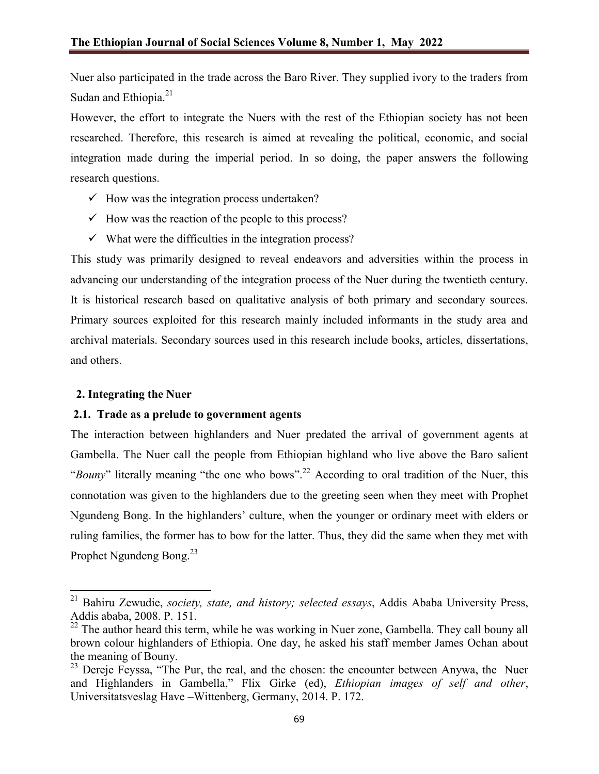Nuer also participated in the trade across the Baro River. They supplied ivory to the traders from Sudan and Ethiopia.<sup>21</sup>

However, the effort to integrate the Nuers with the rest of the Ethiopian society has not been researched. Therefore, this research is aimed at revealing the political, economic, and social integration made during the imperial period. In so doing, the paper answers the following research questions.

- $\checkmark$  How was the integration process undertaken?
- $\checkmark$  How was the reaction of the people to this process?
- $\checkmark$  What were the difficulties in the integration process?

This study was primarily designed to reveal endeavors and adversities within the process in advancing our understanding of the integration process of the Nuer during the twentieth century. It is historical research based on qualitative analysis of both primary and secondary sources. Primary sources exploited for this research mainly included informants in the study area and archival materials. Secondary sources used in this research include books, articles, dissertations, and others.

### **2. Integrating the Nuer**

### **2.1. Trade as a prelude to government agents**

The interaction between highlanders and Nuer predated the arrival of government agents at Gambella. The Nuer call the people from Ethiopian highland who live above the Baro salient "*Bouny*" literally meaning "the one who bows".<sup>22</sup> According to oral tradition of the Nuer, this connotation was given to the highlanders due to the greeting seen when they meet with Prophet Ngundeng Bong. In the highlanders' culture, when the younger or ordinary meet with elders or ruling families, the former has to bow for the latter. Thus, they did the same when they met with Prophet Ngundeng Bong.<sup>23</sup>

<sup>21</sup> Bahiru Zewudie, *society, state, and history; selected essays*, Addis Ababa University Press, Addis ababa, 2008. P. 151.

 $22$  The author heard this term, while he was working in Nuer zone, Gambella. They call bouny all brown colour highlanders of Ethiopia. One day, he asked his staff member James Ochan about the meaning of Bouny.

 $^{23}$  Dereje Feyssa, "The Pur, the real, and the chosen: the encounter between Anywa, the Nuer and Highlanders in Gambella," Flix Girke (ed), *Ethiopian images of self and other*, Universitatsveslag Have –Wittenberg, Germany, 2014. P. 172.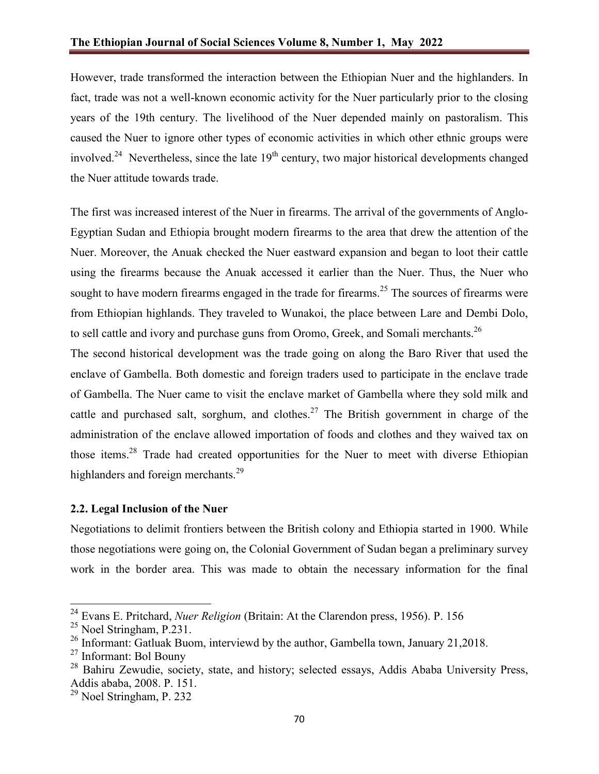However, trade transformed the interaction between the Ethiopian Nuer and the highlanders. In fact, trade was not a well-known economic activity for the Nuer particularly prior to the closing years of the 19th century. The livelihood of the Nuer depended mainly on pastoralism. This caused the Nuer to ignore other types of economic activities in which other ethnic groups were involved.<sup>24</sup> Nevertheless, since the late  $19<sup>th</sup>$  century, two major historical developments changed the Nuer attitude towards trade.

The first was increased interest of the Nuer in firearms. The arrival of the governments of Anglo-Egyptian Sudan and Ethiopia brought modern firearms to the area that drew the attention of the Nuer. Moreover, the Anuak checked the Nuer eastward expansion and began to loot their cattle using the firearms because the Anuak accessed it earlier than the Nuer. Thus, the Nuer who sought to have modern firearms engaged in the trade for firearms.<sup>25</sup> The sources of firearms were from Ethiopian highlands. They traveled to Wunakoi, the place between Lare and Dembi Dolo, to sell cattle and ivory and purchase guns from Oromo, Greek, and Somali merchants.<sup>26</sup>

The second historical development was the trade going on along the Baro River that used the enclave of Gambella. Both domestic and foreign traders used to participate in the enclave trade of Gambella. The Nuer came to visit the enclave market of Gambella where they sold milk and cattle and purchased salt, sorghum, and clothes.<sup>27</sup> The British government in charge of the administration of the enclave allowed importation of foods and clothes and they waived tax on those items.<sup>28</sup> Trade had created opportunities for the Nuer to meet with diverse Ethiopian highlanders and foreign merchants.<sup>29</sup>

## **2.2. Legal Inclusion of the Nuer**

Negotiations to delimit frontiers between the British colony and Ethiopia started in 1900. While those negotiations were going on, the Colonial Government of Sudan began a preliminary survey work in the border area. This was made to obtain the necessary information for the final

<sup>24</sup> Evans E. Pritchard, *Nuer Religion* (Britain: At the Clarendon press, 1956). P. 156

 $25$  Noel Stringham, P.231.

<sup>&</sup>lt;sup>26</sup> Informant: Gatluak Buom, interviewd by the author, Gambella town, January 21,2018.

<sup>27</sup> Informant: Bol Bouny

 $28$  Bahiru Zewudie, society, state, and history; selected essays, Addis Ababa University Press, Addis ababa, 2008. P. 151.

<sup>29</sup> Noel Stringham, P. 232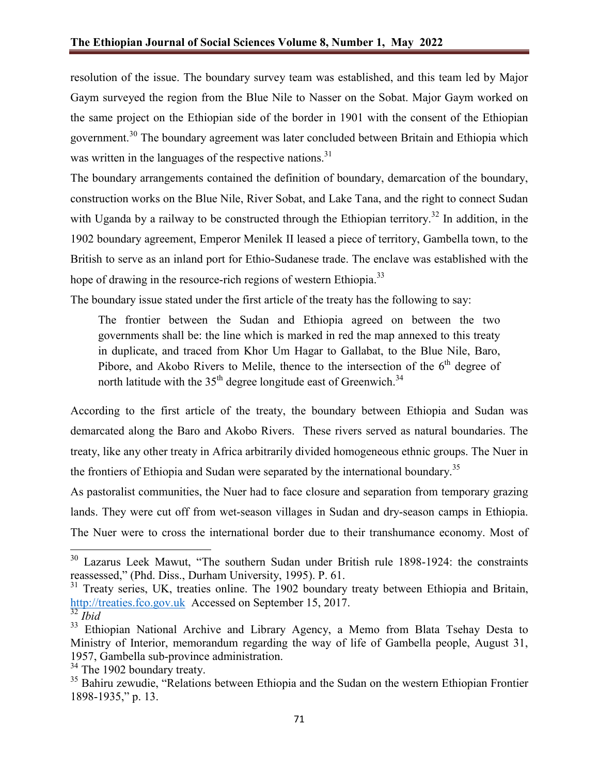resolution of the issue. The boundary survey team was established, and this team led by Major Gaym surveyed the region from the Blue Nile to Nasser on the Sobat. Major Gaym worked on the same project on the Ethiopian side of the border in 1901 with the consent of the Ethiopian government.<sup>30</sup> The boundary agreement was later concluded between Britain and Ethiopia which was written in the languages of the respective nations.<sup>31</sup>

The boundary arrangements contained the definition of boundary, demarcation of the boundary, construction works on the Blue Nile, River Sobat, and Lake Tana, and the right to connect Sudan with Uganda by a railway to be constructed through the Ethiopian territory.<sup>32</sup> In addition, in the 1902 boundary agreement, Emperor Menilek II leased a piece of territory, Gambella town, to the British to serve as an inland port for Ethio-Sudanese trade. The enclave was established with the hope of drawing in the resource-rich regions of western Ethiopia.<sup>33</sup>

The boundary issue stated under the first article of the treaty has the following to say:

The frontier between the Sudan and Ethiopia agreed on between the two governments shall be: the line which is marked in red the map annexed to this treaty in duplicate, and traced from Khor Um Hagar to Gallabat, to the Blue Nile, Baro, Pibore, and Akobo Rivers to Melile, thence to the intersection of the  $6<sup>th</sup>$  degree of north latitude with the  $35<sup>th</sup>$  degree longitude east of Greenwich.<sup>34</sup>

According to the first article of the treaty, the boundary between Ethiopia and Sudan was demarcated along the Baro and Akobo Rivers. These rivers served as natural boundaries. The treaty, like any other treaty in Africa arbitrarily divided homogeneous ethnic groups. The Nuer in the frontiers of Ethiopia and Sudan were separated by the international boundary.<sup>35</sup>

As pastoralist communities, the Nuer had to face closure and separation from temporary grazing lands. They were cut off from wet-season villages in Sudan and dry-season camps in Ethiopia. The Nuer were to cross the international border due to their transhumance economy. Most of

<sup>&</sup>lt;sup>30</sup> Lazarus Leek Mawut, "The southern Sudan under British rule 1898-1924: the constraints reassessed," (Phd. Diss., Durham University, 1995). P. 61.

<sup>&</sup>lt;sup>31</sup> Treaty series, UK, treaties online. The 1902 boundary treaty between Ethiopia and Britain, http://treaties.fco.gov.uk Accessed on September 15, 2017.

<sup>32</sup> *Ibid*

<sup>&</sup>lt;sup>33</sup> Ethiopian National Archive and Library Agency, a Memo from Blata Tsehay Desta to Ministry of Interior, memorandum regarding the way of life of Gambella people, August 31, 1957, Gambella sub-province administration.

 $34$  The 1902 boundary treaty.

<sup>&</sup>lt;sup>35</sup> Bahiru zewudie, "Relations between Ethiopia and the Sudan on the western Ethiopian Frontier 1898-1935," p. 13.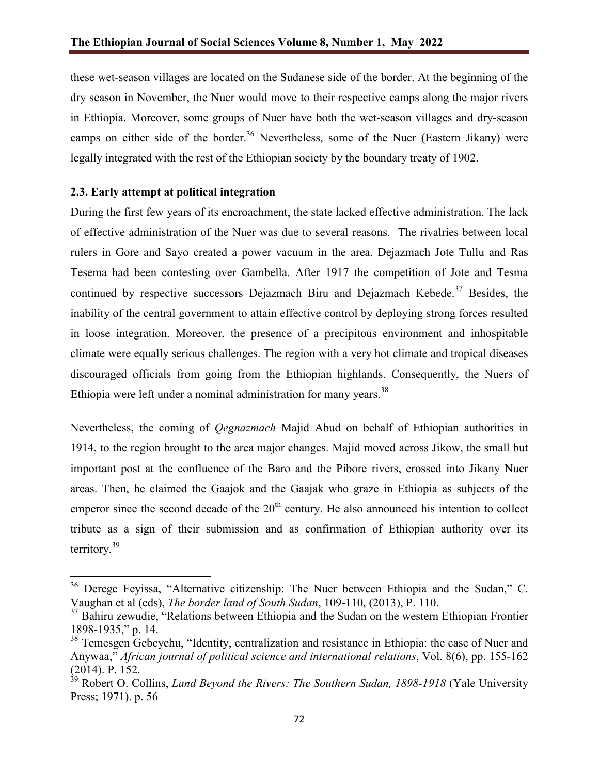these wet-season villages are located on the Sudanese side of the border. At the beginning of the dry season in November, the Nuer would move to their respective camps along the major rivers in Ethiopia. Moreover, some groups of Nuer have both the wet-season villages and dry-season camps on either side of the border.<sup>36</sup> Nevertheless, some of the Nuer (Eastern Jikany) were legally integrated with the rest of the Ethiopian society by the boundary treaty of 1902.

## **2.3. Early attempt at political integration**

During the first few years of its encroachment, the state lacked effective administration. The lack of effective administration of the Nuer was due to several reasons. The rivalries between local rulers in Gore and Sayo created a power vacuum in the area. Dejazmach Jote Tullu and Ras Tesema had been contesting over Gambella. After 1917 the competition of Jote and Tesma continued by respective successors Dejazmach Biru and Dejazmach Kebede.<sup>37</sup> Besides, the inability of the central government to attain effective control by deploying strong forces resulted in loose integration. Moreover, the presence of a precipitous environment and inhospitable climate were equally serious challenges. The region with a very hot climate and tropical diseases discouraged officials from going from the Ethiopian highlands. Consequently, the Nuers of Ethiopia were left under a nominal administration for many years.  $38$ 

Nevertheless, the coming of *Qegnazmach* Majid Abud on behalf of Ethiopian authorities in 1914, to the region brought to the area major changes. Majid moved across Jikow, the small but important post at the confluence of the Baro and the Pibore rivers, crossed into Jikany Nuer areas. Then, he claimed the Gaajok and the Gaajak who graze in Ethiopia as subjects of the emperor since the second decade of the  $20<sup>th</sup>$  century. He also announced his intention to collect tribute as a sign of their submission and as confirmation of Ethiopian authority over its territory.<sup>39</sup>

<sup>&</sup>lt;sup>36</sup> Derege Feyissa, "Alternative citizenship: The Nuer between Ethiopia and the Sudan," C. Vaughan et al (eds), *The border land of South Sudan*, 109-110, (2013), P. 110.

<sup>&</sup>lt;sup>37</sup> Bahiru zewudie, "Relations between Ethiopia and the Sudan on the western Ethiopian Frontier 1898-1935," p. 14.

<sup>&</sup>lt;sup>38</sup> Temesgen Gebeyehu, "Identity, centralization and resistance in Ethiopia: the case of Nuer and Anywaa," *African journal of political science and international relations*, Vol. 8(6), pp. 155-162 (2014). P. 152.

<sup>39</sup> Robert O. Collins, *Land Beyond the Rivers: The Southern Sudan, 1898-1918* (Yale University Press; 1971). p. 56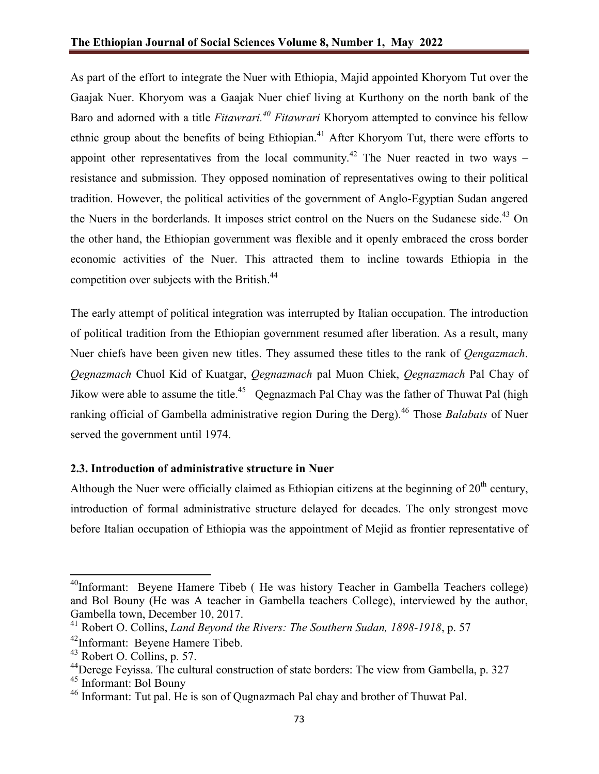As part of the effort to integrate the Nuer with Ethiopia, Majid appointed Khoryom Tut over the Gaajak Nuer. Khoryom was a Gaajak Nuer chief living at Kurthony on the north bank of the Baro and adorned with a title *Fitawrari.40 Fitawrari* Khoryom attempted to convince his fellow ethnic group about the benefits of being Ethiopian.<sup>41</sup> After Khoryom Tut, there were efforts to appoint other representatives from the local community.<sup>42</sup> The Nuer reacted in two ways  $$ resistance and submission. They opposed nomination of representatives owing to their political tradition. However, the political activities of the government of Anglo-Egyptian Sudan angered the Nuers in the borderlands. It imposes strict control on the Nuers on the Sudanese side.<sup>43</sup> On the other hand, the Ethiopian government was flexible and it openly embraced the cross border economic activities of the Nuer. This attracted them to incline towards Ethiopia in the competition over subjects with the British.<sup>44</sup>

The early attempt of political integration was interrupted by Italian occupation. The introduction of political tradition from the Ethiopian government resumed after liberation. As a result, many Nuer chiefs have been given new titles. They assumed these titles to the rank of *Qengazmach*. *Qegnazmach* Chuol Kid of Kuatgar, *Qegnazmach* pal Muon Chiek, *Qegnazmach* Pal Chay of Jikow were able to assume the title.<sup>45</sup> Qegnazmach Pal Chay was the father of Thuwat Pal (high ranking official of Gambella administrative region During the Derg).<sup>46</sup> Those *Balabats* of Nuer served the government until 1974.

# **2.3. Introduction of administrative structure in Nuer**

Although the Nuer were officially claimed as Ethiopian citizens at the beginning of  $20<sup>th</sup>$  century, introduction of formal administrative structure delayed for decades. The only strongest move before Italian occupation of Ethiopia was the appointment of Mejid as frontier representative of

<sup>&</sup>lt;sup>40</sup>Informant: Beyene Hamere Tibeb (He was history Teacher in Gambella Teachers college) and Bol Bouny (He was A teacher in Gambella teachers College), interviewed by the author, Gambella town, December 10, 2017.

<sup>41</sup> Robert O. Collins, *Land Beyond the Rivers: The Southern Sudan, 1898-1918*, p. 57

<sup>&</sup>lt;sup>42</sup>Informant: Beyene Hamere Tibeb.

<sup>43</sup> Robert O. Collins, p. 57.

<sup>&</sup>lt;sup>44</sup>Derege Feyissa. The cultural construction of state borders: The view from Gambella, p. 327

<sup>45</sup> Informant: Bol Bouny

<sup>46</sup> Informant: Tut pal. He is son of Qugnazmach Pal chay and brother of Thuwat Pal.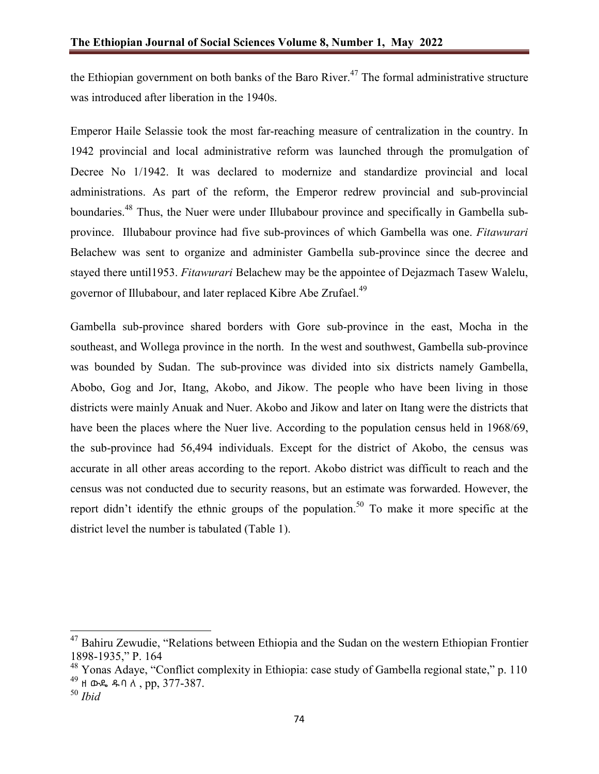the Ethiopian government on both banks of the Baro River.<sup>47</sup> The formal administrative structure was introduced after liberation in the 1940s.

Emperor Haile Selassie took the most far-reaching measure of centralization in the country. In 1942 provincial and local administrative reform was launched through the promulgation of Decree No 1/1942. It was declared to modernize and standardize provincial and local administrations. As part of the reform, the Emperor redrew provincial and sub-provincial boundaries.<sup>48</sup> Thus, the Nuer were under Illubabour province and specifically in Gambella subprovince. Illubabour province had five sub-provinces of which Gambella was one. *Fitawurari* Belachew was sent to organize and administer Gambella sub-province since the decree and stayed there until1953. *Fitawurari* Belachew may be the appointee of Dejazmach Tasew Walelu, governor of Illubabour, and later replaced Kibre Abe Zrufael.<sup>49</sup>

Gambella sub-province shared borders with Gore sub-province in the east, Mocha in the southeast, and Wollega province in the north. In the west and southwest, Gambella sub-province was bounded by Sudan. The sub-province was divided into six districts namely Gambella, Abobo, Gog and Jor, Itang, Akobo, and Jikow. The people who have been living in those districts were mainly Anuak and Nuer. Akobo and Jikow and later on Itang were the districts that have been the places where the Nuer live. According to the population census held in 1968/69, the sub-province had 56,494 individuals. Except for the district of Akobo, the census was accurate in all other areas according to the report. Akobo district was difficult to reach and the census was not conducted due to security reasons, but an estimate was forwarded. However, the report didn't identify the ethnic groups of the population.<sup>50</sup> To make it more specific at the district level the number is tabulated (Table 1).

<sup>&</sup>lt;sup>47</sup> Bahiru Zewudie, "Relations between Ethiopia and the Sudan on the western Ethiopian Frontier 1898-1935," P. 164

 $48$  Yonas Adaye, "Conflict complexity in Ethiopia: case study of Gambella regional state," p. 110 <sup>49</sup> ዘ ውዴ ዱባ ለ , pp, 377-387.

<sup>50</sup> *Ibid*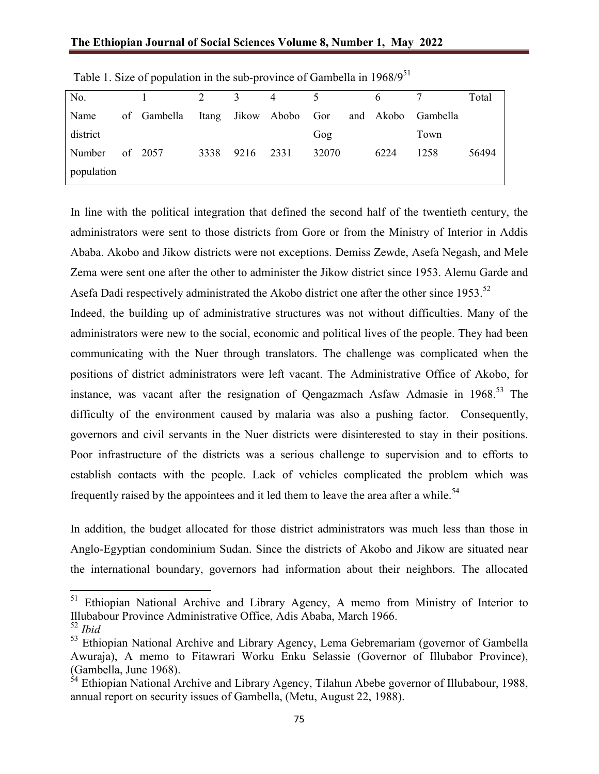| No.        |             | $\overline{2}$ | $\overline{3}$ | 4                     | 5     | 6         |          | Total |
|------------|-------------|----------------|----------------|-----------------------|-------|-----------|----------|-------|
| Name       | of Gambella |                |                | Itang Jikow Abobo Gor |       | and Akobo | Gambella |       |
| district   |             |                |                |                       | Gog   |           | Town     |       |
| Number     | of 2057     | 3338           | 9216           | 2331                  | 32070 | 6224      | 1258     | 56494 |
| population |             |                |                |                       |       |           |          |       |

Table 1. Size of population in the sub-province of Gambella in 1968/9<sup>51</sup>

In line with the political integration that defined the second half of the twentieth century, the administrators were sent to those districts from Gore or from the Ministry of Interior in Addis Ababa. Akobo and Jikow districts were not exceptions. Demiss Zewde, Asefa Negash, and Mele Zema were sent one after the other to administer the Jikow district since 1953. Alemu Garde and Asefa Dadi respectively administrated the Akobo district one after the other since 1953.<sup>52</sup>

Indeed, the building up of administrative structures was not without difficulties. Many of the administrators were new to the social, economic and political lives of the people. They had been communicating with the Nuer through translators. The challenge was complicated when the positions of district administrators were left vacant. The Administrative Office of Akobo, for instance, was vacant after the resignation of Qengazmach Asfaw Admasie in  $1968$ <sup>53</sup>. The difficulty of the environment caused by malaria was also a pushing factor. Consequently, governors and civil servants in the Nuer districts were disinterested to stay in their positions. Poor infrastructure of the districts was a serious challenge to supervision and to efforts to establish contacts with the people. Lack of vehicles complicated the problem which was frequently raised by the appointees and it led them to leave the area after a while.<sup>54</sup>

In addition, the budget allocated for those district administrators was much less than those in Anglo-Egyptian condominium Sudan. Since the districts of Akobo and Jikow are situated near the international boundary, governors had information about their neighbors. The allocated

<sup>&</sup>lt;sup>51</sup> Ethiopian National Archive and Library Agency, A memo from Ministry of Interior to Illubabour Province Administrative Office, Adis Ababa, March 1966.

<sup>52</sup> *Ibid*

<sup>&</sup>lt;sup>53</sup> Ethiopian National Archive and Library Agency, Lema Gebremariam (governor of Gambella Awuraja), A memo to Fitawrari Worku Enku Selassie (Governor of Illubabor Province), (Gambella, June 1968).

 $54$  Ethiopian National Archive and Library Agency, Tilahun Abebe governor of Illubabour, 1988, annual report on security issues of Gambella, (Metu, August 22, 1988).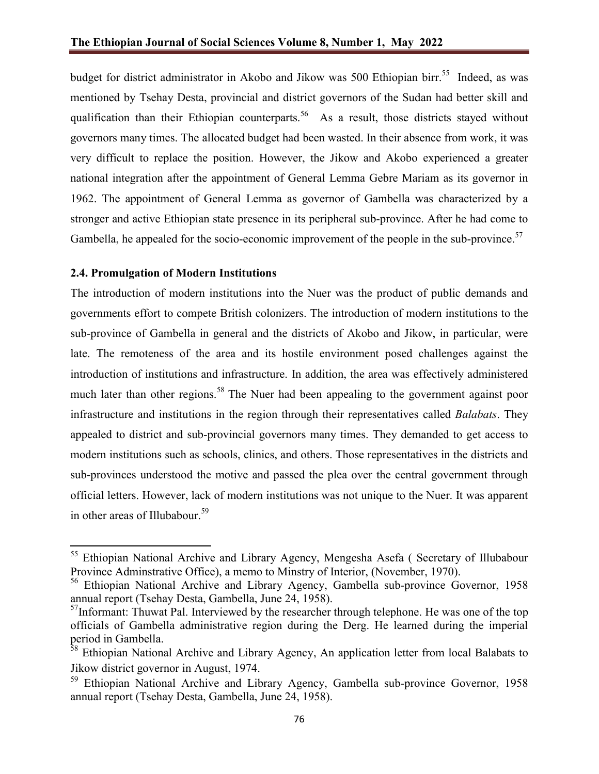budget for district administrator in Akobo and Jikow was 500 Ethiopian birr.<sup>55</sup> Indeed, as was mentioned by Tsehay Desta, provincial and district governors of the Sudan had better skill and qualification than their Ethiopian counterparts.<sup>56</sup> As a result, those districts stayed without governors many times. The allocated budget had been wasted. In their absence from work, it was very difficult to replace the position. However, the Jikow and Akobo experienced a greater national integration after the appointment of General Lemma Gebre Mariam as its governor in 1962. The appointment of General Lemma as governor of Gambella was characterized by a stronger and active Ethiopian state presence in its peripheral sub-province. After he had come to Gambella, he appealed for the socio-economic improvement of the people in the sub-province.<sup>57</sup>

#### **2.4. Promulgation of Modern Institutions**

The introduction of modern institutions into the Nuer was the product of public demands and governments effort to compete British colonizers. The introduction of modern institutions to the sub-province of Gambella in general and the districts of Akobo and Jikow, in particular, were late. The remoteness of the area and its hostile environment posed challenges against the introduction of institutions and infrastructure. In addition, the area was effectively administered much later than other regions.<sup>58</sup> The Nuer had been appealing to the government against poor infrastructure and institutions in the region through their representatives called *Balabats*. They appealed to district and sub-provincial governors many times. They demanded to get access to modern institutions such as schools, clinics, and others. Those representatives in the districts and sub-provinces understood the motive and passed the plea over the central government through official letters. However, lack of modern institutions was not unique to the Nuer. It was apparent in other areas of Illubabour.<sup>59</sup>

<sup>&</sup>lt;sup>55</sup> Ethiopian National Archive and Library Agency, Mengesha Asefa ( Secretary of Illubabour Province Adminstrative Office), a memo to Minstry of Interior, (November, 1970).

<sup>&</sup>lt;sup>56</sup> Ethiopian National Archive and Library Agency, Gambella sub-province Governor, 1958 annual report (Tsehay Desta, Gambella, June 24, 1958).

 $<sup>57</sup>$ Informant: Thuwat Pal. Interviewed by the researcher through telephone. He was one of the top</sup> officials of Gambella administrative region during the Derg. He learned during the imperial period in Gambella.

<sup>&</sup>lt;sup>38</sup> Ethiopian National Archive and Library Agency, An application letter from local Balabats to Jikow district governor in August, 1974.

<sup>&</sup>lt;sup>59</sup> Ethiopian National Archive and Library Agency, Gambella sub-province Governor, 1958 annual report (Tsehay Desta, Gambella, June 24, 1958).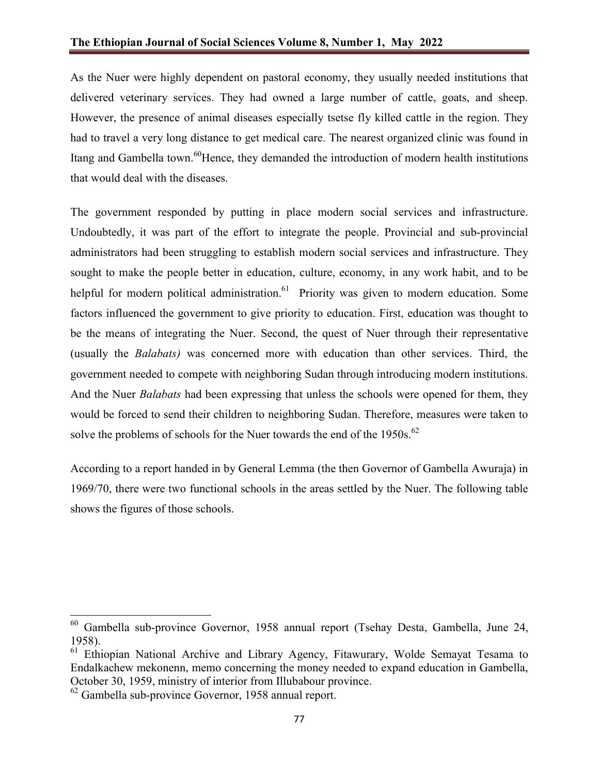As the Nuer were highly dependent on pastoral economy, they usually needed institutions that delivered veterinary services. They had owned a large number of cattle, goats, and sheep. However, the presence of animal diseases especially tsetse fly killed cattle in the region. They had to travel a very long distance to get medical care. The nearest organized clinic was found in Itang and Gambella town.<sup>60</sup>Hence, they demanded the introduction of modern health institutions that would deal with the diseases.

The government responded by putting in place modern social services and infrastructure. Undoubtedly, it was part of the effort to integrate the people. Provincial and sub-provincial administrators had been struggling to establish modern social services and infrastructure. They sought to make the people better in education, culture, economy, in any work habit, and to be helpful for modern political administration.<sup>61</sup> Priority was given to modern education. Some factors influenced the government to give priority to education. First, education was thought to be the means of integrating the Nuer. Second, the quest of Nuer through their representative (usually the *Balabats)* was concerned more with education than other services. Third, the government needed to compete with neighboring Sudan through introducing modern institutions. And the Nuer *Balabats* had been expressing that unless the schools were opened for them, they would be forced to send their children to neighboring Sudan. Therefore, measures were taken to solve the problems of schools for the Nuer towards the end of the 1950s.<sup>62</sup>

According to a report handed in by General Lemma (the then Governor of Gambella Awuraja) in 1969/70, there were two functional schools in the areas settled by the Nuer. The following table shows the figures of those schools.

<sup>60</sup> Gambella sub-province Governor, 1958 annual report (Tsehay Desta, Gambella, June 24, 1958).

 $61$  Ethiopian National Archive and Library Agency, Fitawurary, Wolde Semayat Tesama to Endalkachew mekonenn, memo concerning the money needed to expand education in Gambella, October 30, 1959, ministry of interior from Illubabour province.

<sup>62</sup> Gambella sub-province Governor, 1958 annual report.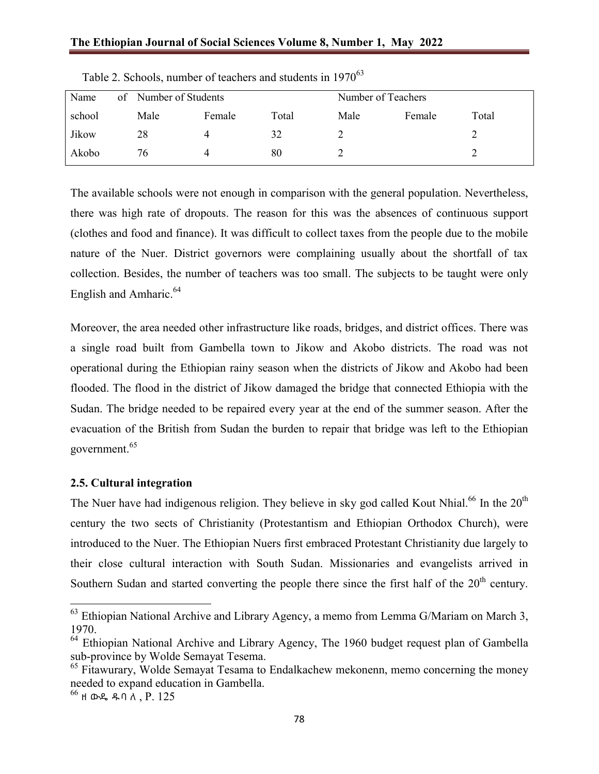| Name   | of Number of Students |        |       | Number of Teachers |        |       |  |
|--------|-----------------------|--------|-------|--------------------|--------|-------|--|
| school | Male                  | Female | Total | Male               | Female | Total |  |
| Jikow  | 28                    | 4      | 32    |                    |        |       |  |
| Akobo  | 76                    |        | 80    |                    |        |       |  |

Table 2. Schools, number of teachers and students in 1970<sup>63</sup>

The available schools were not enough in comparison with the general population. Nevertheless, there was high rate of dropouts. The reason for this was the absences of continuous support (clothes and food and finance). It was difficult to collect taxes from the people due to the mobile nature of the Nuer. District governors were complaining usually about the shortfall of tax collection. Besides, the number of teachers was too small. The subjects to be taught were only English and Amharic.<sup>64</sup>

Moreover, the area needed other infrastructure like roads, bridges, and district offices. There was a single road built from Gambella town to Jikow and Akobo districts. The road was not operational during the Ethiopian rainy season when the districts of Jikow and Akobo had been flooded. The flood in the district of Jikow damaged the bridge that connected Ethiopia with the Sudan. The bridge needed to be repaired every year at the end of the summer season. After the evacuation of the British from Sudan the burden to repair that bridge was left to the Ethiopian government. 65

## **2.5. Cultural integration**

The Nuer have had indigenous religion. They believe in sky god called Kout Nhial.<sup>66</sup> In the 20<sup>th</sup> century the two sects of Christianity (Protestantism and Ethiopian Orthodox Church), were introduced to the Nuer. The Ethiopian Nuers first embraced Protestant Christianity due largely to their close cultural interaction with South Sudan. Missionaries and evangelists arrived in Southern Sudan and started converting the people there since the first half of the  $20<sup>th</sup>$  century.

 $63$  Ethiopian National Archive and Library Agency, a memo from Lemma G/Mariam on March 3, 1970.

 $64$  Ethiopian National Archive and Library Agency, The 1960 budget request plan of Gambella sub-province by Wolde Semayat Tesema.

 $65$  Fitawurary, Wolde Semayat Tesama to Endalkachew mekonenn, memo concerning the money needed to expand education in Gambella.

 $^{66}$  ዘ ውዴ ዱባ ለ ,  $P. 125$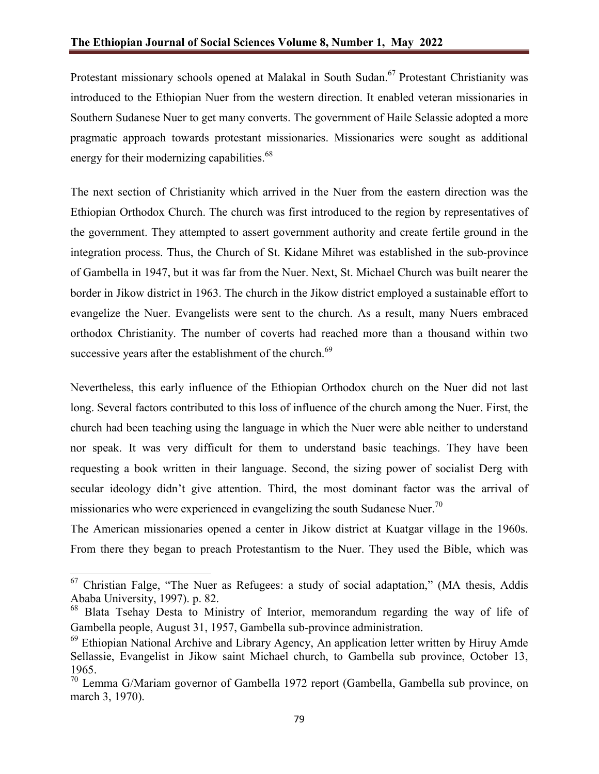Protestant missionary schools opened at Malakal in South Sudan.<sup>67</sup> Protestant Christianity was introduced to the Ethiopian Nuer from the western direction. It enabled veteran missionaries in Southern Sudanese Nuer to get many converts. The government of Haile Selassie adopted a more pragmatic approach towards protestant missionaries. Missionaries were sought as additional energy for their modernizing capabilities.<sup>68</sup>

The next section of Christianity which arrived in the Nuer from the eastern direction was the Ethiopian Orthodox Church. The church was first introduced to the region by representatives of the government. They attempted to assert government authority and create fertile ground in the integration process. Thus, the Church of St. Kidane Mihret was established in the sub-province of Gambella in 1947, but it was far from the Nuer. Next, St. Michael Church was built nearer the border in Jikow district in 1963. The church in the Jikow district employed a sustainable effort to evangelize the Nuer. Evangelists were sent to the church. As a result, many Nuers embraced orthodox Christianity. The number of coverts had reached more than a thousand within two successive years after the establishment of the church.<sup>69</sup>

Nevertheless, this early influence of the Ethiopian Orthodox church on the Nuer did not last long. Several factors contributed to this loss of influence of the church among the Nuer. First, the church had been teaching using the language in which the Nuer were able neither to understand nor speak. It was very difficult for them to understand basic teachings. They have been requesting a book written in their language. Second, the sizing power of socialist Derg with secular ideology didn't give attention. Third, the most dominant factor was the arrival of missionaries who were experienced in evangelizing the south Sudanese Nuer.<sup>70</sup>

The American missionaries opened a center in Jikow district at Kuatgar village in the 1960s. From there they began to preach Protestantism to the Nuer. They used the Bible, which was

 $67$  Christian Falge, "The Nuer as Refugees: a study of social adaptation," (MA thesis, Addis Ababa University, 1997). p. 82.

<sup>68</sup> Blata Tsehay Desta to Ministry of Interior, memorandum regarding the way of life of Gambella people, August 31, 1957, Gambella sub-province administration.

 $69$  Ethiopian National Archive and Library Agency, An application letter written by Hiruy Amde Sellassie, Evangelist in Jikow saint Michael church, to Gambella sub province, October 13, 1965.

<sup>70</sup> Lemma G/Mariam governor of Gambella 1972 report (Gambella, Gambella sub province, on march 3, 1970).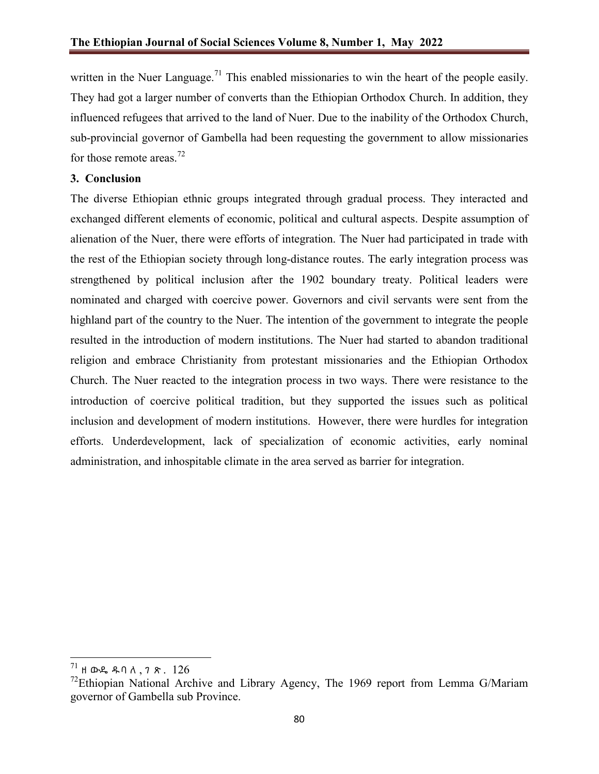written in the Nuer Language.<sup>71</sup> This enabled missionaries to win the heart of the people easily. They had got a larger number of converts than the Ethiopian Orthodox Church. In addition, they influenced refugees that arrived to the land of Nuer. Due to the inability of the Orthodox Church, sub-provincial governor of Gambella had been requesting the government to allow missionaries for those remote areas.<sup>72</sup>

# **3. Conclusion**

The diverse Ethiopian ethnic groups integrated through gradual process. They interacted and exchanged different elements of economic, political and cultural aspects. Despite assumption of alienation of the Nuer, there were efforts of integration. The Nuer had participated in trade with the rest of the Ethiopian society through long-distance routes. The early integration process was strengthened by political inclusion after the 1902 boundary treaty. Political leaders were nominated and charged with coercive power. Governors and civil servants were sent from the highland part of the country to the Nuer. The intention of the government to integrate the people resulted in the introduction of modern institutions. The Nuer had started to abandon traditional religion and embrace Christianity from protestant missionaries and the Ethiopian Orthodox Church. The Nuer reacted to the integration process in two ways. There were resistance to the introduction of coercive political tradition, but they supported the issues such as political inclusion and development of modern institutions. However, there were hurdles for integration efforts. Underdevelopment, lack of specialization of economic activities, early nominal administration, and inhospitable climate in the area served as barrier for integration.

 $^{71}$  ዘ ውዴ ዱባለ, 7 ጽ. 126

 $72$ Ethiopian National Archive and Library Agency, The 1969 report from Lemma G/Mariam governor of Gambella sub Province.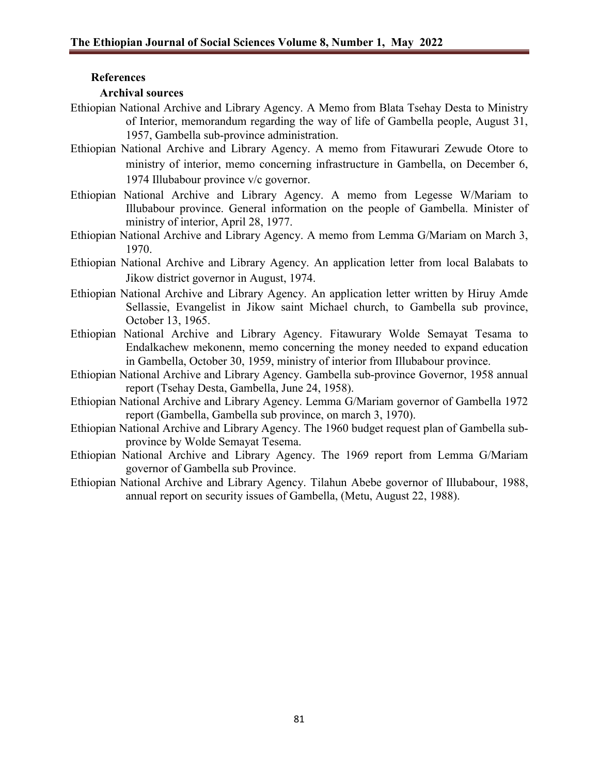## **References**

### **Archival sources**

- Ethiopian National Archive and Library Agency. A Memo from Blata Tsehay Desta to Ministry of Interior, memorandum regarding the way of life of Gambella people, August 31, 1957, Gambella sub-province administration.
- Ethiopian National Archive and Library Agency. A memo from Fitawurari Zewude Otore to ministry of interior, memo concerning infrastructure in Gambella, on December 6, 1974 Illubabour province v/c governor.
- Ethiopian National Archive and Library Agency. A memo from Legesse W/Mariam to Illubabour province. General information on the people of Gambella. Minister of ministry of interior, April 28, 1977.
- Ethiopian National Archive and Library Agency. A memo from Lemma G/Mariam on March 3, 1970.
- Ethiopian National Archive and Library Agency. An application letter from local Balabats to Jikow district governor in August, 1974.
- Ethiopian National Archive and Library Agency. An application letter written by Hiruy Amde Sellassie, Evangelist in Jikow saint Michael church, to Gambella sub province, October 13, 1965.
- Ethiopian National Archive and Library Agency. Fitawurary Wolde Semayat Tesama to Endalkachew mekonenn, memo concerning the money needed to expand education in Gambella, October 30, 1959, ministry of interior from Illubabour province.
- Ethiopian National Archive and Library Agency. Gambella sub-province Governor, 1958 annual report (Tsehay Desta, Gambella, June 24, 1958).
- Ethiopian National Archive and Library Agency. Lemma G/Mariam governor of Gambella 1972 report (Gambella, Gambella sub province, on march 3, 1970).
- Ethiopian National Archive and Library Agency. The 1960 budget request plan of Gambella subprovince by Wolde Semayat Tesema.
- Ethiopian National Archive and Library Agency. The 1969 report from Lemma G/Mariam governor of Gambella sub Province.
- Ethiopian National Archive and Library Agency. Tilahun Abebe governor of Illubabour, 1988, annual report on security issues of Gambella, (Metu, August 22, 1988).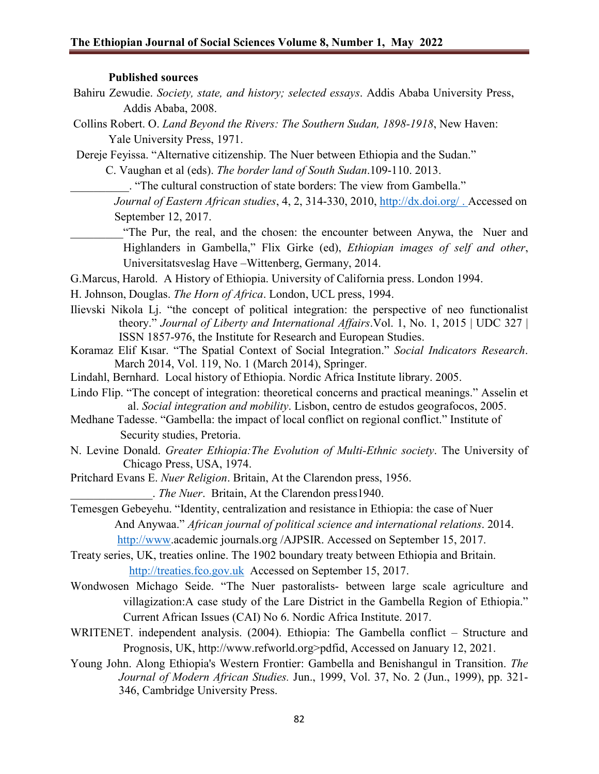#### **Published sources**

- Bahiru Zewudie. *Society, state, and history; selected essays*. Addis Ababa University Press, Addis Ababa, 2008.
- Collins Robert. O. *Land Beyond the Rivers: The Southern Sudan, 1898-1918*, New Haven: Yale University Press, 1971.
- Dereje Feyissa. "Alternative citizenship. The Nuer between Ethiopia and the Sudan."

- \_\_\_\_\_\_\_\_\_\_. "The cultural construction of state borders: The view from Gambella."
- *Journal of Eastern African studies*, 4, 2, 314-330, 2010, <http://dx.doi.org/> . Accessed on September 12, 2017.
- "The Pur, the real, and the chosen: the encounter between Anywa, the Nuer and Highlanders in Gambella," Flix Girke (ed), *Ethiopian images of self and other*, Universitatsveslag Have –Wittenberg, Germany, 2014.

G.Marcus, Harold. A History of Ethiopia. University of California press. London 1994.

- H. Johnson, Douglas. *The Horn of Africa*. London, UCL press, 1994.
- Ilievski Nikola Lj. "the concept of political integration: the perspective of neo functionalist theory." *Journal of Liberty and International Affairs*.Vol. 1, No. 1, 2015 | UDC 327 | ISSN 1857-976, the Institute for Research and European Studies.
- Koramaz Elif Kιsar. "The Spatial Context of Social Integration." *Social Indicators Research*. March 2014, Vol. 119, No. 1 (March 2014), Springer.
- Lindahl, Bernhard. Local history of Ethiopia. Nordic Africa Institute library. 2005.
- Lindo Flip. "The concept of integration: theoretical concerns and practical meanings." Asselin et al. *Social integration and mobility*. Lisbon, centro de estudos geografocos, 2005.
- Medhane Tadesse. "Gambella: the impact of local conflict on regional conflict." Institute of Security studies, Pretoria.
- N. Levine Donald. *Greater Ethiopia:The Evolution of Multi-Ethnic society*. The University of Chicago Press, USA, 1974.
- Pritchard Evans E. *Nuer Religion*. Britain, At the Clarendon press, 1956.

\_\_\_\_\_\_\_\_\_\_\_\_\_\_. *The Nuer*. Britain, At the Clarendon press1940.

Temesgen Gebeyehu. "Identity, centralization and resistance in Ethiopia: the case of Nuer And Anywaa." *African journal of political science and international relations*. 2014. [http://www.](http://www/)academic journals.org /AJPSIR. Accessed on September 15, 2017.

Treaty series, UK, treaties online. The 1902 boundary treaty between Ethiopia and Britain. [http://treaties.fco.gov.uk](http://treaties.fco.gov.uk/) Accessed on September 15, 2017.

- Wondwosen Michago Seide. "The Nuer pastoralists- between large scale agriculture and villagization:A case study of the Lare District in the Gambella Region of Ethiopia." Current African Issues (CAI) No 6. Nordic Africa Institute. 2017.
- WRITENET. independent analysis. (2004). Ethiopia: The Gambella conflict Structure and Prognosis, UK, http://www.refworld.org>pdfid, Accessed on January 12, 2021.
- Young John. Along Ethiopia's Western Frontier: Gambella and Benishangul in Transition. *The Journal of Modern African Studies.* Jun., 1999, Vol. 37, No. 2 (Jun., 1999), pp. 321- 346, Cambridge University Press.

C. Vaughan et al (eds). *The border land of South Sudan*.109-110. 2013.